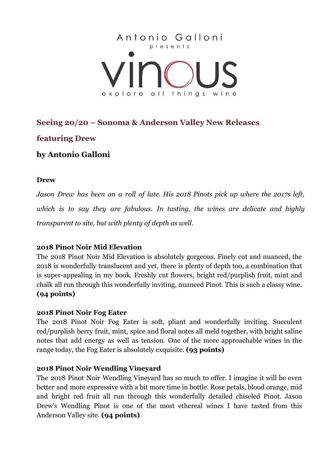

## **Seeing 20/20 – Sonoma & Anderson Valley New Releases**

# **featuring Drew**

# **by Antonio Galloni**

### **Drew**

*Jason Drew has been on a roll of late. His 2018 Pinots pick up where the 2017s left, which is to say they are fabulous. In tasting, the wines are delicate and highly transparent to site, but with plenty of depth as well.*

## **2018 Pinot Noir Mid Elevation**

The 2018 Pinot Noir Mid Elevation is absolutely gorgeous. Finely cut and nuanced, the 2018 is wonderfully translucent and yet, there is plenty of depth too, a combination that is super-appealing in my book. Freshly cut flowers, bright red/purplish fruit, mint and chalk all run through this wonderfully inviting, nuanced Pinot. This is such a classy wine. **(94 points)**

### **2018 Pinot Noir Fog Eater**

The 2018 Pinot Noir Fog Eater is soft, pliant and wonderfully inviting. Succulent red/purplish berry fruit, mint, spice and floral notes all meld together, with bright saline notes that add energy as well as tension. One of the more approachable wines in the range today, the Fog Eater is absolutely exquisite. **(93 points)**

## **2018 Pinot Noir Wendling Vineyard**

The 2018 Pinot Noir Wendling Vineyard has so much to offer. I imagine it will be even better and more expressive with a bit more time in bottle. Rose petals, blood orange, mid and bright red fruit all run through this wonderfully detailed chiseled Pinot. Jason Drew's Wendling Pinot is one of the most ethereal wines I have tasted from this Anderson Valley site. **(94 points)**